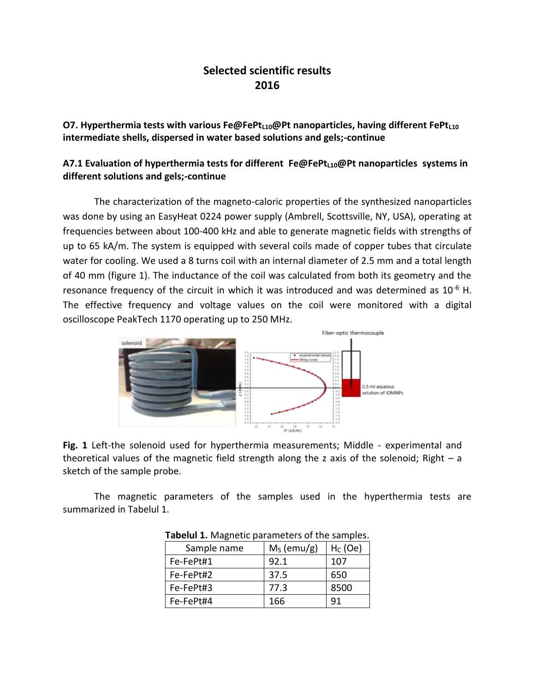## **Selected scientific results 2016**

**O7. Hyperthermia tests with various Fe@FePtL10@Pt nanoparticles, having different FePtL10 intermediate shells, dispersed in water based solutions and gels;-continue**

## **A7.1 Evaluation of hyperthermia tests for different Fe@FePtL10@Pt nanoparticles systems in different solutions and gels;-continue**

The characterization of the magneto-caloric properties of the synthesized nanoparticles was done by using an EasyHeat 0224 power supply (Ambrell, Scottsville, NY, USA), operating at frequencies between about 100-400 kHz and able to generate magnetic fields with strengths of up to 65 kA/m. The system is equipped with several coils made of copper tubes that circulate water for cooling. We used a 8 turns coil with an internal diameter of 2.5 mm and a total length of 40 mm (figure 1). The inductance of the coil was calculated from both its geometry and the resonance frequency of the circuit in which it was introduced and was determined as  $10^{-6}$  H. The effective frequency and voltage values on the coil were monitored with a digital oscilloscope PeakTech 1170 operating up to 250 MHz.



**Fig. 1** Left-the solenoid used for hyperthermia measurements; Middle - experimental and theoretical values of the magnetic field strength along the z axis of the solenoid; Right  $-$  a sketch of the sample probe.

The magnetic parameters of the samples used in the hyperthermia tests are summarized in Tabelul 1.

| Sample name | $MS$ (emu/g) | $HC$ (Oe) |
|-------------|--------------|-----------|
| Fe-FePt#1   | 92.1         | 107       |
| Fe-FePt#2   | 37.5         | 650       |
| Fe-FePt#3   | 77.3         | 8500      |
| Fe-FePt#4   | 166          | 91        |

**Tabelul 1.** Magnetic parameters of the samples.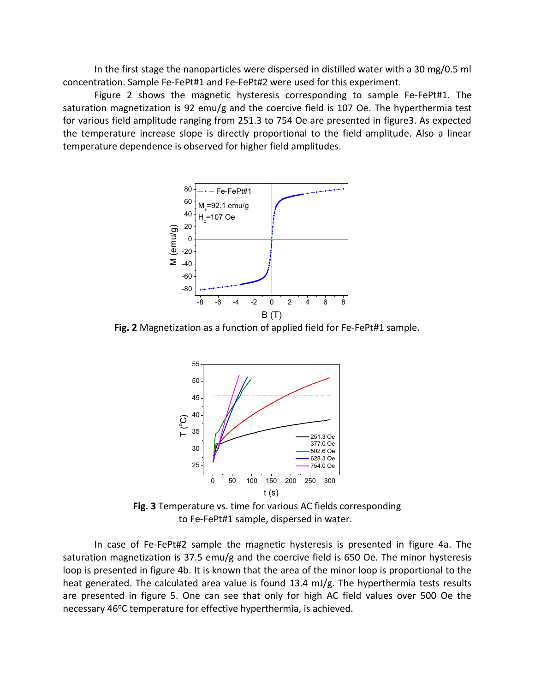In the first stage the nanoparticles were dispersed in distilled water with a 30 mg/0.5 ml concentration. Sample Fe-FePt#1 and Fe-FePt#2 were used for this experiment.

Figure 2 shows the magnetic hysteresis corresponding to sample Fe-FePt#1. The saturation magnetization is 92 emu/g and the coercive field is 107 Oe. The hyperthermia test for various field amplitude ranging from 251.3 to 754 Oe are presented in figure3. As expected the temperature increase slope is directly proportional to the field amplitude. Also a linear temperature dependence is observed for higher field amplitudes.



**Fig. 2** Magnetization as a function of applied field for Fe-FePt#1 sample.



**Fig. 3** Temperature vs. time for various AC fields corresponding to Fe-FePt#1 sample, dispersed in water.

In case of Fe-FePt#2 sample the magnetic hysteresis is presented in figure 4a. The saturation magnetization is 37.5 emu/g and the coercive field is 650 Oe. The minor hysteresis loop is presented in figure 4b. It is known that the area of the minor loop is proportional to the heat generated. The calculated area value is found 13.4 mJ/g. The hyperthermia tests results are presented in figure 5. One can see that only for high AC field values over 500 Oe the necessary 46°C temperature for effective hyperthermia, is achieved.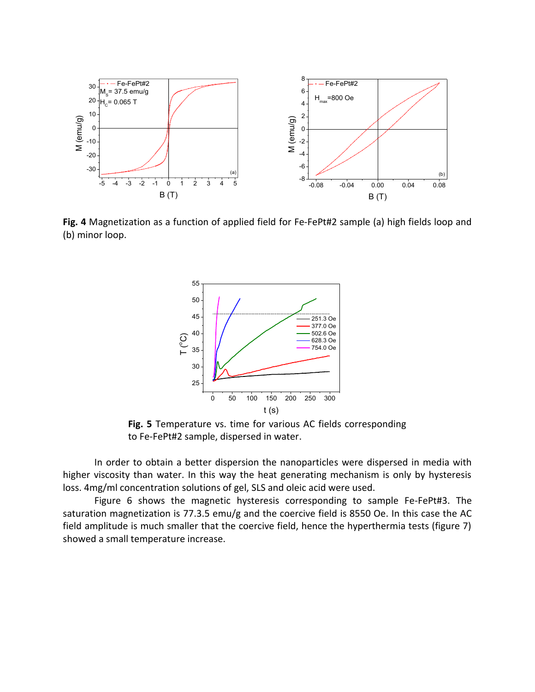

**Fig. 4** Magnetization as a function of applied field for Fe-FePt#2 sample (a) high fields loop and (b) minor loop.



**Fig. 5** Temperature vs. time for various AC fields corresponding to Fe-FePt#2 sample, dispersed in water.

In order to obtain a better dispersion the nanoparticles were dispersed in media with higher viscosity than water. In this way the heat generating mechanism is only by hysteresis loss. 4mg/ml concentration solutions of gel, SLS and oleic acid were used.

Figure 6 shows the magnetic hysteresis corresponding to sample Fe-FePt#3. The saturation magnetization is 77.3.5 emu/g and the coercive field is 8550 Oe. In this case the AC field amplitude is much smaller that the coercive field, hence the hyperthermia tests (figure 7) showed a small temperature increase.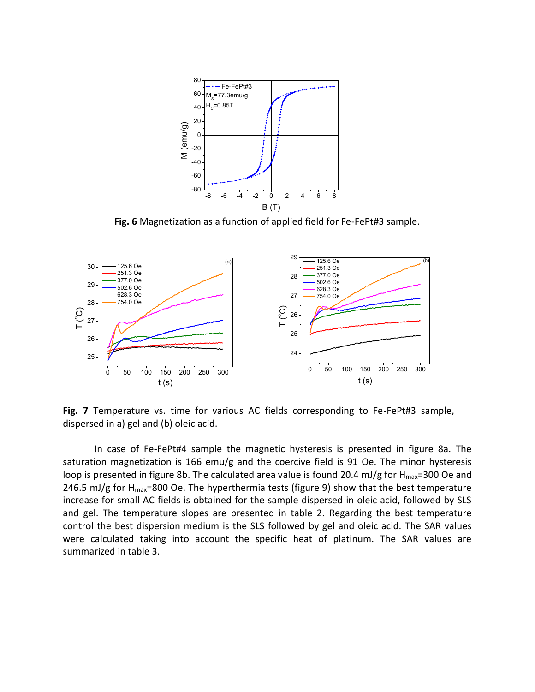

**Fig. 6** Magnetization as a function of applied field for Fe-FePt#3 sample.



**Fig. 7** Temperature vs. time for various AC fields corresponding to Fe-FePt#3 sample, dispersed in a) gel and (b) oleic acid.

In case of Fe-FePt#4 sample the magnetic hysteresis is presented in figure 8a. The saturation magnetization is 166 emu/g and the coercive field is 91 Oe. The minor hysteresis loop is presented in figure 8b. The calculated area value is found 20.4 mJ/g for  $H_{\text{max}}$ =300 Oe and 246.5 mJ/g for  $H_{max}=800$  Oe. The hyperthermia tests (figure 9) show that the best temperature increase for small AC fields is obtained for the sample dispersed in oleic acid, followed by SLS and gel. The temperature slopes are presented in table 2. Regarding the best temperature control the best dispersion medium is the SLS followed by gel and oleic acid. The SAR values were calculated taking into account the specific heat of platinum. The SAR values are summarized in table 3.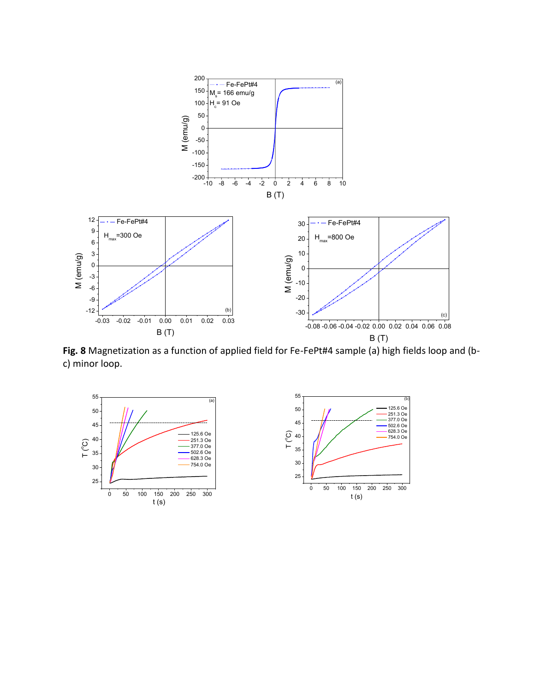

**Fig. 8** Magnetization as a function of applied field for Fe-FePt#4 sample (a) high fields loop and (bc) minor loop.

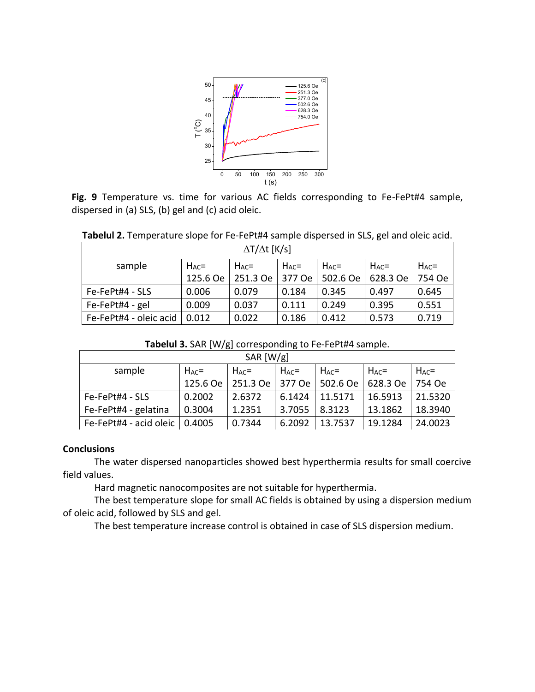

**Fig. 9** Temperature vs. time for various AC fields corresponding to Fe-FePt#4 sample, dispersed in (a) SLS, (b) gel and (c) acid oleic.

| Tabelul 2. Temperature slope for Fe-FePt#4 sample dispersed in SLS, gel and oleic acid. |
|-----------------------------------------------------------------------------------------|
| $\Delta T/\Delta t$ [K/s]                                                               |

| $\Delta$ $\Delta$ $\Delta$ $\Gamma$ $\Delta$ $\Delta$ |            |            |            |            |            |            |  |  |
|-------------------------------------------------------|------------|------------|------------|------------|------------|------------|--|--|
| sample                                                | $H_{AC} =$ | $H_{AC} =$ | $H_{AC} =$ | $H_{AC} =$ | $H_{AC} =$ | $H_{AC}$ = |  |  |
|                                                       | 125.6 Oe   | 251.3 Oe   | 377 Oe     | 502.6 Oe   | 628.3 Oe   | 754 Oe     |  |  |
| Fe-FePt#4 - SLS                                       | 0.006      | 0.079      | 0.184      | 0.345      | 0.497      | 0.645      |  |  |
| Fe-FePt#4 - gel                                       | 0.009      | 0.037      | 0.111      | 0.249      | 0.395      | 0.551      |  |  |
| Fe-FePt#4 - oleic acid                                | 0.012      | 0.022      | 0.186      | 0.412      | 0.573      | 0.719      |  |  |

**Tabelul 3.** SAR [W/g] corresponding to Fe-FePt#4 sample.

| SAR $[W/g]$            |            |            |            |            |            |            |  |
|------------------------|------------|------------|------------|------------|------------|------------|--|
| sample                 | $H_{AC} =$ | $H_{AC} =$ | $H_{AC}$ = | $H_{AC} =$ | $H_{AC} =$ | $H_{AC}$ = |  |
|                        | 125.6 Oe   | 251.3 Oe   | 377 Oe     | 502.6 Oe   | 628.3 Oe   | 754 Oe     |  |
| Fe-FePt#4 - SLS        | 0.2002     | 2.6372     | 6.1424     | 11.5171    | 16.5913    | 21.5320    |  |
| Fe-FePt#4 - gelatina   | 0.3004     | 1.2351     | 3.7055     | 8.3123     | 13.1862    | 18.3940    |  |
| Fe-FePt#4 - acid oleic | 0.4005     | 0.7344     | 6.2092     | 13.7537    | 19.1284    | 24.0023    |  |

## **Conclusions**

The water dispersed nanoparticles showed best hyperthermia results for small coercive field values.

Hard magnetic nanocomposites are not suitable for hyperthermia.

The best temperature slope for small AC fields is obtained by using a dispersion medium of oleic acid, followed by SLS and gel.

The best temperature increase control is obtained in case of SLS dispersion medium.